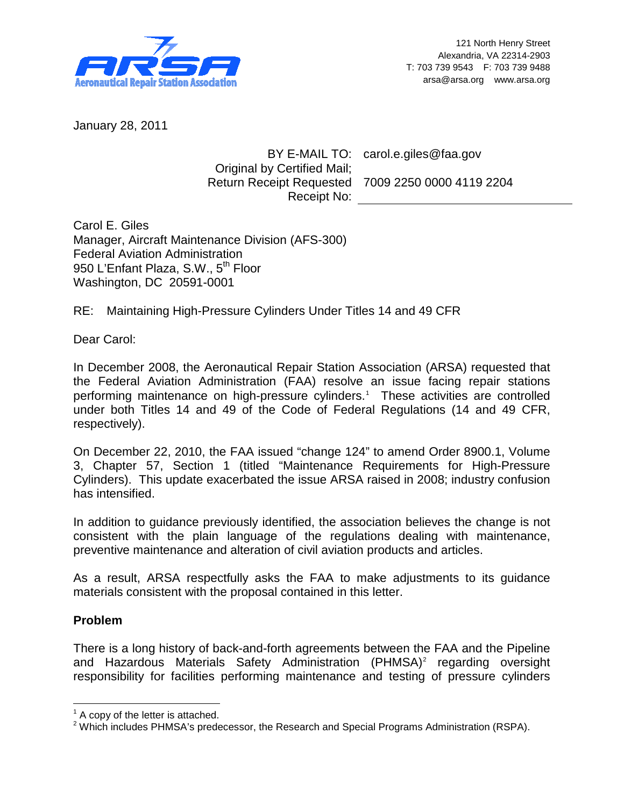

January 28, 2011

## BY E-MAIL TO: carol.e.giles@faa.gov Original by Certified Mail; Return Receipt Requested 7009 2250 0000 4119 2204 Receipt No:

Carol E. Giles Manager, Aircraft Maintenance Division (AFS-300) Federal Aviation Administration 950 L'Enfant Plaza, S.W., 5<sup>th</sup> Floor Washington, DC 20591-0001

RE: Maintaining High-Pressure Cylinders Under Titles 14 and 49 CFR

Dear Carol:

In December 2008, the Aeronautical Repair Station Association (ARSA) requested that the Federal Aviation Administration (FAA) resolve an issue facing repair stations performing maintenance on high-pressure cylinders.<sup>[1](#page-0-0)</sup> These activities are controlled under both Titles 14 and 49 of the Code of Federal Regulations (14 and 49 CFR, respectively).

On December 22, 2010, the FAA issued "change 124" to amend Order 8900.1, Volume 3, Chapter 57, Section 1 (titled "Maintenance Requirements for High-Pressure Cylinders). This update exacerbated the issue ARSA raised in 2008; industry confusion has intensified.

In addition to guidance previously identified, the association believes the change is not consistent with the plain language of the regulations dealing with maintenance, preventive maintenance and alteration of civil aviation products and articles.

As a result, ARSA respectfully asks the FAA to make adjustments to its guidance materials consistent with the proposal contained in this letter.

## **Problem**

<span id="page-0-2"></span>There is a long history of back-and-forth agreements between the FAA and the Pipeline and Hazardous Materials Safety Administration (PHMSA)<sup>[2](#page-0-1)</sup> regarding oversight responsibility for facilities performing maintenance and testing of pressure cylinders

<span id="page-0-0"></span> $<sup>1</sup>$  A copy of the letter is attached.</sup>

<span id="page-0-1"></span> $2$  Which includes PHMSA's predecessor, the Research and Special Programs Administration (RSPA).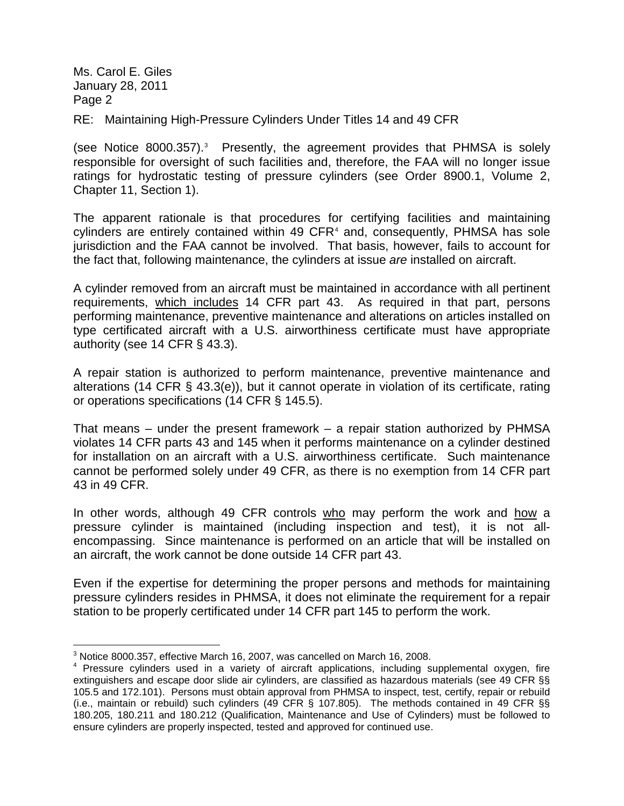Ms. Carol E. Giles January 28, 2011 Page 2

RE: Maintaining High-Pressure Cylinders Under Titles 14 and 49 CFR

(see Notice 8000.357). [3](#page-0-2) Presently, the agreement provides that PHMSA is solely responsible for oversight of such facilities and, therefore, the FAA will no longer issue ratings for hydrostatic testing of pressure cylinders (see Order 8900.1, Volume 2, Chapter 11, Section 1).

The apparent rationale is that procedures for certifying facilities and maintaining cylinders are entirely contained within [4](#page-1-0)9  $CFR<sup>4</sup>$  and, consequently, PHMSA has sole jurisdiction and the FAA cannot be involved. That basis, however, fails to account for the fact that, following maintenance, the cylinders at issue *are* installed on aircraft.

A cylinder removed from an aircraft must be maintained in accordance with all pertinent requirements, which includes 14 CFR part 43. As required in that part, persons performing maintenance, preventive maintenance and alterations on articles installed on type certificated aircraft with a U.S. airworthiness certificate must have appropriate authority (see 14 CFR § 43.3).

A repair station is authorized to perform maintenance, preventive maintenance and alterations (14 CFR § 43.3(e)), but it cannot operate in violation of its certificate, rating or operations specifications (14 CFR § 145.5).

That means – under the present framework – a repair station authorized by PHMSA violates 14 CFR parts 43 and 145 when it performs maintenance on a cylinder destined for installation on an aircraft with a U.S. airworthiness certificate. Such maintenance cannot be performed solely under 49 CFR, as there is no exemption from 14 CFR part 43 in 49 CFR.

In other words, although 49 CFR controls who may perform the work and how a pressure cylinder is maintained (including inspection and test), it is not allencompassing. Since maintenance is performed on an article that will be installed on an aircraft, the work cannot be done outside 14 CFR part 43.

Even if the expertise for determining the proper persons and methods for maintaining pressure cylinders resides in PHMSA, it does not eliminate the requirement for a repair station to be properly certificated under 14 CFR part 145 to perform the work.

 <sup>3</sup> Notice 8000.357, effective March 16, 2007, was cancelled on March 16, 2008.

<span id="page-1-0"></span><sup>&</sup>lt;sup>4</sup> Pressure cylinders used in a variety of aircraft applications, including supplemental oxygen, fire extinguishers and escape door slide air cylinders, are classified as hazardous materials (see 49 CFR §§ 105.5 and 172.101). Persons must obtain approval from PHMSA to inspect, test, certify, repair or rebuild (i.e., maintain or rebuild) such cylinders (49 CFR § 107.805). The methods contained in 49 CFR §§ 180.205, 180.211 and 180.212 (Qualification, Maintenance and Use of Cylinders) must be followed to ensure cylinders are properly inspected, tested and approved for continued use.